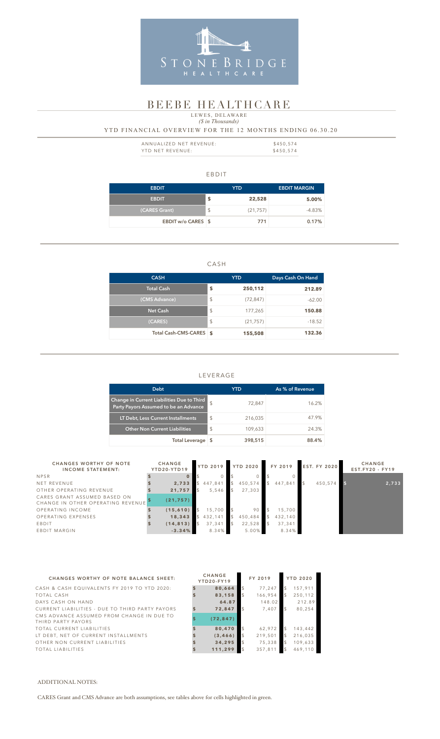#### EBDIT

| <b>EBDIT</b>       | <b>YTD</b>      | <b>EBDIT MARGIN</b> |
|--------------------|-----------------|---------------------|
| <b>EBDIT</b>       | \$<br>22,528    | 5.00%               |
| (CARES Grant)      | \$<br>(21, 757) | $-4.83\%$           |
| EBDIT w/o CARES \$ | 771             | 0.17%               |

### CASH

| <b>CASH</b>             |                         | <b>YTD</b> | Days Cash On Hand |  |  |
|-------------------------|-------------------------|------------|-------------------|--|--|
| Total Cash              | \$                      | 250,112    | 212.89            |  |  |
| (CMS Advance)           | \$                      | (72, 847)  | $-62.00$          |  |  |
| <b>Net Cash</b>         | $\sqrt[6]{\frac{1}{2}}$ | 177,265    | 150.88            |  |  |
| (CARES)                 | $\sqrt[6]{\frac{1}{2}}$ | (21, 757)  | $-18.52$          |  |  |
| Total Cash-CMS-CARES \$ |                         | 155,508    | 132.36            |  |  |

| ANNUALIZED NET REVENUE: | \$450.574 |
|-------------------------|-----------|
| YTD NET REVENUE:        | \$450,574 |

# LEVERAGE

# *(\$ in Thousands)* YTD FINANCIAL OVERVIEW FOR THE 12 MONTHS ENDING 06.30.20 LEWES, DELAWARE

| <b>Debt</b>                                                                         |                | YTD     | As % of Revenue |
|-------------------------------------------------------------------------------------|----------------|---------|-----------------|
| Change in Current Liabilities Due to Third<br>Party Payors Assumed to be an Advance | $\mathcal{S}$  | 72,847  | 16.2%           |
| LT Debt, Less Current Installments                                                  | $\mathfrak{L}$ | 216,035 | 47.9%           |
| <b>Other Non Current Liabilities</b>                                                | $\mathcal{L}$  | 109,633 | 24.3%           |
| <b>Total Leverage</b>                                                               |                | 398,515 | 88.4%           |



# BEEBE HEALTHCARE

| <b>CHANGES WORTHY OF NOTE</b><br><b>INCOME STATEMENT:</b>         | <b>CHANGE</b><br>YTD20-YTD19 | <b>YTD 2019</b> | <b>YTD 2020</b> | FY 2019 | <b>EST. FY 2020</b> | <b>CHANGE</b><br>$EST.FY20 - FY19$ |
|-------------------------------------------------------------------|------------------------------|-----------------|-----------------|---------|---------------------|------------------------------------|
| <b>NPSR</b>                                                       |                              |                 |                 |         |                     |                                    |
| NET REVENUE                                                       | 2,733                        | 447,841         | 450,574         | 447.841 | 450.574             | 2,733                              |
| OTHER OPERATING REVENUE                                           | 21,757                       | 5,546           | 27,303          |         |                     |                                    |
| CARES GRANT ASSUMED BASED ON<br>CHANGE IN OTHER OPERATING REVENUE | (21, 757)                    |                 |                 |         |                     |                                    |
| OPERATING INCOME                                                  | (15, 610)                    | 15,700          | 90              | 15,700  |                     |                                    |
| OPERATING EXPENSES                                                | 18,343                       | 432,141         | 450,484         | 432,140 |                     |                                    |
| EBDIT                                                             | (14, 813)                    | 37,341          | 22,528          | 37,341  |                     |                                    |
| EBDIT MARGIN                                                      | $-3.34%$                     | 8.34%           | 5.00%           | 8.34%   |                     |                                    |

| <b>CHANGES WORTHY OF NOTE BALANCE SHEET:</b>                    | <b>CHANGE</b><br><b>YTD20-FY19</b> | FY 2019 |                | <b>YTD 2020</b> |
|-----------------------------------------------------------------|------------------------------------|---------|----------------|-----------------|
| CASH & CASH EQUIVALENTS FY 2019 TO YTD 2020:                    | 80,664                             | 77,247  |                | 157,911         |
| TOTAL CASH                                                      | 83,158                             | 166,954 |                | 250,112         |
| DAYS CASH ON HAND                                               | 64.87                              | 148.02  |                | 212.89          |
| CURRENT LIABILITIES - DUE TO THIRD PARTY PAYORS                 | 72,847                             | 7,407   | $\mathfrak{L}$ | 80,254          |
| CMS ADVANCE ASSUMED FROM CHANGE IN DUE TO<br>THIRD PARTY PAYORS | (72, 847)                          |         |                |                 |
| TOTAL CURRENT LIABILITIES                                       | 80,470                             | 62,972  |                | 143,442         |
| LT DEBT, NET OF CURRENT INSTALLMENTS                            | (3, 466)                           | 219,501 |                | 216,035         |
| OTHER NON CURRENT LIABILITIES                                   | 34,295                             | 75,338  |                | 109,633         |
| TOTAL LIABILITIES                                               | 111,299                            | 357,811 |                | 469.110         |

#### ADDITIONAL NOTES:

CARES Grant and CMS Advance are both assumptions, see tables above for cells highlighted in green.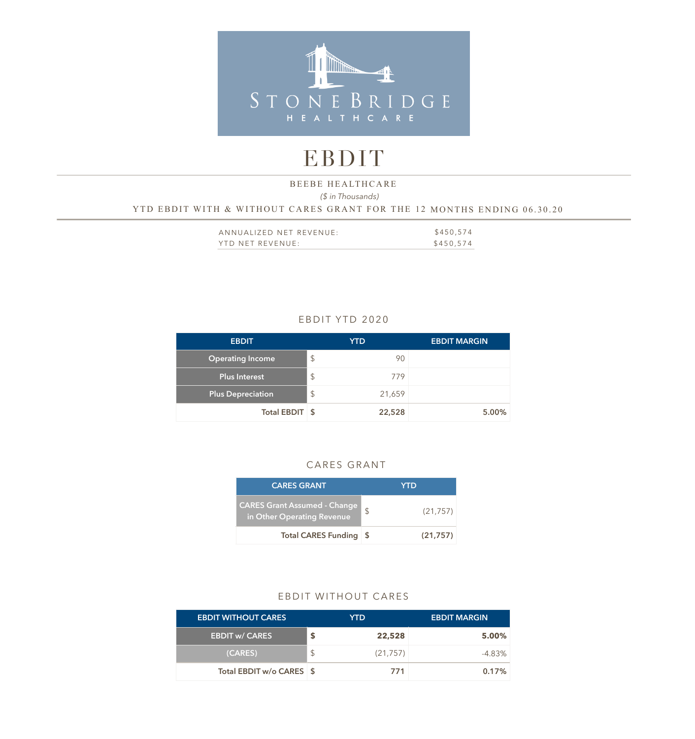

# EBDIT

# *(\$ in Thousands)*  YTD EBDIT WITH & WITHOUT CARES GRANT FOR THE 12 MONTHS ENDING 06.30.20 BEEBE HEALTHCARE

| ANNUALIZED NET REVENUE: | \$450,574 |
|-------------------------|-----------|
| YTD NET REVENUE:        | \$450,574 |

### EBDIT YTD 2020

| <b>EBDIT</b>             | <b>YTD</b>              | <b>EBDIT MARGIN</b> |
|--------------------------|-------------------------|---------------------|
| <b>Operating Income</b>  | $\frac{1}{2}$<br>90     |                     |
| <b>Plus Interest</b>     | $\mathcal{L}$<br>779    |                     |
| <b>Plus Depreciation</b> | $\frac{1}{2}$<br>21,659 |                     |
| Total EBDIT \$           | 22,528                  | 5.00%               |

#### CARES GRANT

| <b>CARES GRANT</b>                                                |      | YTD       |
|-------------------------------------------------------------------|------|-----------|
| <b>CARES Grant Assumed - Change</b><br>in Other Operating Revenue | \$   | (21, 757) |
| <b>Total CARES Funding</b>                                        | ∣ \$ | (21,757)  |

#### EBDIT WITHOUT CARES

| <b>EBDIT WITHOUT CARES</b> |   | YTD.      | <b>EBDIT MARGIN</b> |
|----------------------------|---|-----------|---------------------|
| <b>EBDIT w/ CARES</b>      |   | 22,528    | 5.00%               |
| (CARES)                    | S | (21, 757) | $-4.83\%$           |
| Total EBDIT w/o CARES \$   |   | 771       | 0.17%               |